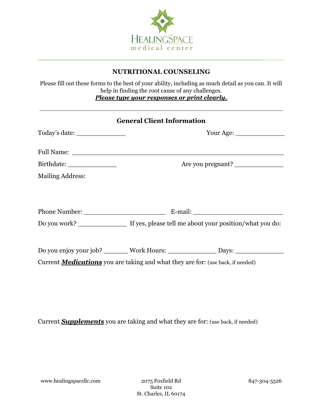

### **NUTRITIONAL COUNSELING**

Please fill out these forms to the best of your ability, including as much detail as you can. It will help in finding the root cause of any challenges. *Please type your responses or print clearly.*

| <b>General Client Information</b>                                                      |  |                                                                                  |  |  |
|----------------------------------------------------------------------------------------|--|----------------------------------------------------------------------------------|--|--|
|                                                                                        |  |                                                                                  |  |  |
|                                                                                        |  |                                                                                  |  |  |
|                                                                                        |  | Are you pregnant?                                                                |  |  |
| <b>Mailing Address:</b>                                                                |  |                                                                                  |  |  |
|                                                                                        |  |                                                                                  |  |  |
|                                                                                        |  |                                                                                  |  |  |
| Current <b>Medications</b> you are taking and what they are for: (use back, if needed) |  | Do you enjoy your job? _______ Work Hours: ________________ Days: ______________ |  |  |

Current *Supplements* you are taking and what they are for: (use back, if needed)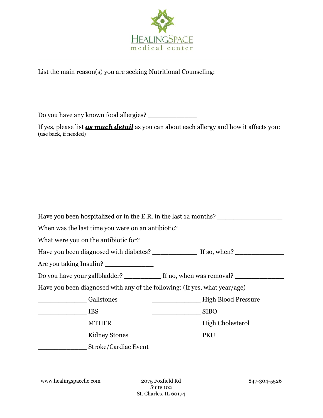

List the main reason(s) you are seeking Nutritional Counseling:

Do you have any known food allergies? \_\_\_\_\_\_\_\_\_\_\_\_

If yes, please list *as much detail* as you can about each allergy and how it affects you: (use back, if needed)

| Have you been hospitalized or in the E.R. in the last 12 months? ________________                                                                                                                                                                                                                                                                                                                                    |                                                                                                                     |  |  |
|----------------------------------------------------------------------------------------------------------------------------------------------------------------------------------------------------------------------------------------------------------------------------------------------------------------------------------------------------------------------------------------------------------------------|---------------------------------------------------------------------------------------------------------------------|--|--|
| When was the last time you were on an antibiotic? _______________________________                                                                                                                                                                                                                                                                                                                                    |                                                                                                                     |  |  |
| What were you on the antibiotic for?                                                                                                                                                                                                                                                                                                                                                                                 |                                                                                                                     |  |  |
|                                                                                                                                                                                                                                                                                                                                                                                                                      |                                                                                                                     |  |  |
| Are you taking Insulin?                                                                                                                                                                                                                                                                                                                                                                                              |                                                                                                                     |  |  |
|                                                                                                                                                                                                                                                                                                                                                                                                                      |                                                                                                                     |  |  |
| Have you been diagnosed with any of the following: (If yes, what year/age)                                                                                                                                                                                                                                                                                                                                           |                                                                                                                     |  |  |
| <b>Example 1</b> Gallstones                                                                                                                                                                                                                                                                                                                                                                                          | High Blood Pressure                                                                                                 |  |  |
| $\frac{1}{\sqrt{1-\frac{1}{2}}\sqrt{1-\frac{1}{2}}\sqrt{1-\frac{1}{2}}\sqrt{1-\frac{1}{2}}\sqrt{1-\frac{1}{2}}\sqrt{1-\frac{1}{2}}\sqrt{1-\frac{1}{2}}\sqrt{1-\frac{1}{2}}\sqrt{1-\frac{1}{2}}\sqrt{1-\frac{1}{2}}\sqrt{1-\frac{1}{2}}\sqrt{1-\frac{1}{2}}\sqrt{1-\frac{1}{2}}\sqrt{1-\frac{1}{2}}\sqrt{1-\frac{1}{2}}\sqrt{1-\frac{1}{2}}\sqrt{1-\frac{1}{2}}\sqrt{1-\frac{1}{2}}\sqrt{1-\frac{1}{2}}\sqrt{1-\frac$ |                                                                                                                     |  |  |
| <b>MTHFR</b>                                                                                                                                                                                                                                                                                                                                                                                                         | <b>Example 12 Service Street Service Street Service Street Service Street Service Street Service Street Service</b> |  |  |
| <b>Kidney Stones</b>                                                                                                                                                                                                                                                                                                                                                                                                 | PKU                                                                                                                 |  |  |
| Stroke/Cardiac Event                                                                                                                                                                                                                                                                                                                                                                                                 |                                                                                                                     |  |  |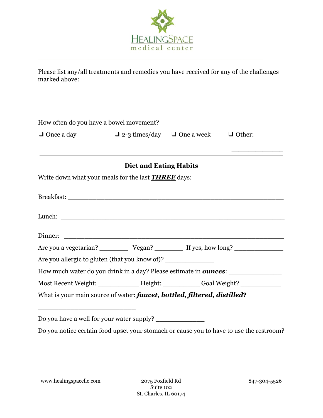

Please list any/all treatments and remedies you have received for any of the challenges marked above:

| How often do you have a bowel movement?                                  |                                                                                  |  |
|--------------------------------------------------------------------------|----------------------------------------------------------------------------------|--|
| $\Box$ Once a day $\Box$ 2-3 times/day $\Box$ One a week $\Box$ Other:   |                                                                                  |  |
|                                                                          |                                                                                  |  |
|                                                                          | <b>Diet and Eating Habits</b>                                                    |  |
| Write down what your meals for the last <b>THREE</b> days:               |                                                                                  |  |
|                                                                          |                                                                                  |  |
|                                                                          |                                                                                  |  |
|                                                                          |                                                                                  |  |
|                                                                          |                                                                                  |  |
| Are you allergic to gluten (that you know of)? _______________           |                                                                                  |  |
| How much water do you drink in a day? Please estimate in <b>ounces</b> : |                                                                                  |  |
|                                                                          | Most Recent Weight: _____________ Height: ___________ Goal Weight? _____________ |  |
|                                                                          |                                                                                  |  |

Do you have a well for your water supply? \_\_\_\_\_\_\_\_\_\_\_\_ Do you notice certain food upset your stomach or cause you to have to use the restroom?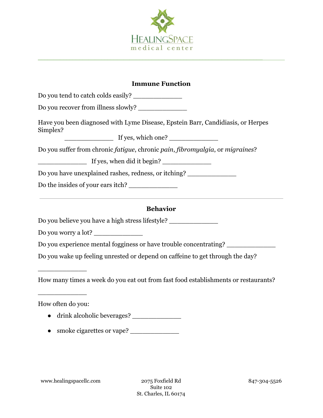

**\_\_\_\_\_\_\_\_\_\_\_\_\_\_\_\_\_\_\_\_\_\_\_\_\_\_\_\_\_\_\_\_\_\_\_\_\_\_\_\_\_\_\_\_\_\_\_\_\_\_\_\_\_\_\_\_\_\_\_\_\_\_\_\_\_\_\_\_\_\_\_**\_\_\_\_\_\_\_

### **Immune Function**

Do you tend to catch colds easily?

Do you recover from illness slowly? \_\_\_\_\_\_\_\_\_\_\_\_

Have you been diagnosed with Lyme Disease, Epstein Barr, Candidiasis, or Herpes Simplex?

 $\Box$  If yes, which one?

Do you suffer from chronic *fatigue*, chronic *pain*, *fibromyalgia*, or *migraines*?

 $\frac{1}{2}$  If yes, when did it begin?

Do you have unexplained rashes, redness, or itching?

Do the insides of your ears itch? \_\_\_\_\_\_\_\_\_\_\_\_

## **Behavior**

Do you believe you have a high stress lifestyle?

Do you worry a lot? \_\_\_\_\_\_\_\_\_\_\_\_

Do you experience mental fogginess or have trouble concentrating?

Do you wake up feeling unrested or depend on caffeine to get through the day?

How many times a week do you eat out from fast food establishments or restaurants?

How often do you:

\_\_\_\_\_\_\_\_\_\_\_\_

\_\_\_\_\_\_\_\_\_\_\_\_

- drink alcoholic beverages? \_\_\_\_\_\_\_\_\_\_\_\_
- smoke cigarettes or vape?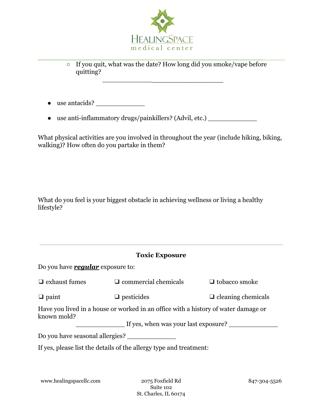

**\_\_\_\_\_\_\_\_\_\_\_\_\_\_\_\_\_\_\_\_\_\_\_\_\_\_\_\_\_\_\_\_\_\_\_\_\_\_\_\_\_\_\_\_\_\_\_\_\_\_\_\_\_\_\_\_\_\_\_\_\_\_\_\_\_\_\_\_\_\_\_**\_\_\_\_\_\_\_ ○ If you quit, what was the date? How long did you smoke/vape before quitting? \_\_\_\_\_\_\_\_\_\_\_\_ \_\_\_\_\_\_\_\_\_\_\_\_\_\_\_\_\_\_\_\_\_

- use antacids? \_\_\_\_\_\_\_\_\_\_\_\_
- use anti-inflammatory drugs/painkillers? (Advil, etc.) \_\_\_\_\_\_\_\_\_\_\_\_

What physical activities are you involved in throughout the year (include hiking, biking, walking)? How often do you partake in them?

What do you feel is your biggest obstacle in achieving wellness or living a healthy lifestyle?

# **Toxic Exposure**

Do you have *regular* exposure to:

| $\Box$ exhaust fumes                                                                                                                      | $\Box$ commercial chemicals | $\Box$ tobacco smoke      |  |  |  |
|-------------------------------------------------------------------------------------------------------------------------------------------|-----------------------------|---------------------------|--|--|--|
| $\Box$ paint                                                                                                                              | $\Box$ pesticides           | $\Box$ cleaning chemicals |  |  |  |
| Have you lived in a house or worked in an office with a history of water damage or<br>known mold?<br>If yes, when was your last exposure? |                             |                           |  |  |  |
| Do you have seasonal allergies?<br>If yes, please list the details of the allergy type and treatment:                                     |                             |                           |  |  |  |
|                                                                                                                                           |                             |                           |  |  |  |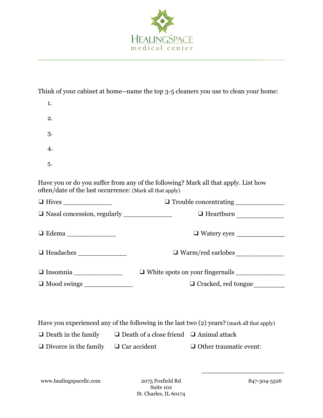

**\_\_\_\_\_\_\_\_\_\_\_\_\_\_\_\_\_\_\_\_\_\_\_\_\_\_\_\_\_\_\_\_\_\_\_\_\_\_\_\_\_\_\_\_\_\_\_\_\_\_\_\_\_\_\_\_\_\_\_\_\_\_\_\_\_\_\_\_\_\_\_**\_\_\_\_\_\_\_

Think of your cabinet at home--name the top 3-5 cleaners you use to clean your home:

| 1. |  |  |  |
|----|--|--|--|
| 2. |  |  |  |
| 3. |  |  |  |
| 4. |  |  |  |
| 5. |  |  |  |

Have you or do you suffer from any of the following? Mark all that apply. List how often/date of the last occurrence: (Mark all that apply)

|              | Trouble concentrating                                                          |                                                                                            |  |  |
|--------------|--------------------------------------------------------------------------------|--------------------------------------------------------------------------------------------|--|--|
|              |                                                                                |                                                                                            |  |  |
| $\Box$ Edema |                                                                                |                                                                                            |  |  |
|              |                                                                                | Warm/red earlobes                                                                          |  |  |
|              |                                                                                | $\Box$ White spots on your fingernails                                                     |  |  |
|              |                                                                                | □ Cracked, red tongue                                                                      |  |  |
|              |                                                                                |                                                                                            |  |  |
|              |                                                                                | Have you experienced any of the following in the last two (2) years? (mark all that apply) |  |  |
|              | $\Box$ Death in the family $\Box$ Death of a close friend $\Box$ Animal attack |                                                                                            |  |  |
|              | $\Box$ Divorce in the family $\Box$ Car accident                               | $\Box$ Other traumatic event:                                                              |  |  |

www.healingspacellc.com 2075 Foxfield Rd

\_\_\_\_\_\_\_\_\_\_\_\_\_\_\_\_\_\_\_\_\_\_\_\_